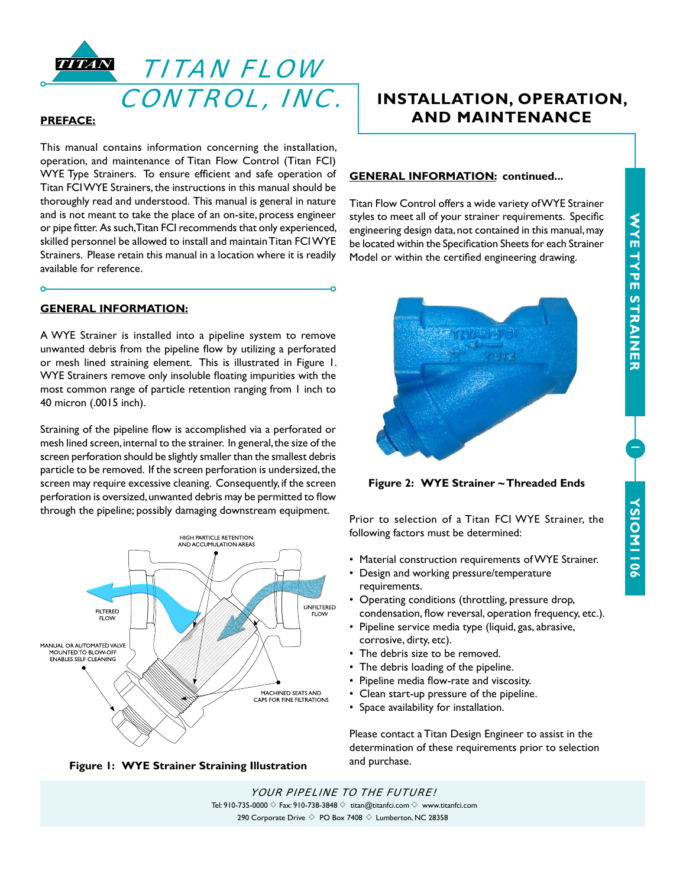1

**YSIOM1106**

**YSIONI106** 



#### **PREFACE:**

 $\Omega$ 

This manual contains information concerning the installation, operation, and maintenance of Titan Flow Control (Titan FCI) WYE Type Strainers. To ensure efficient and safe operation of Titan FCI WYE Strainers, the instructions in this manual should be thoroughly read and understood. This manual is general in nature and is not meant to take the place of an on-site, process engineer or pipe fitter. As such, Titan FCI recommends that only experienced, skilled personnel be allowed to install and maintain Titan FCI WYE Strainers. Please retain this manual in a location where it is readily available for reference.

# **GENERAL INFORMATION:**

A WYE Strainer is installed into a pipeline system to remove unwanted debris from the pipeline flow by utilizing a perforated or mesh lined straining element. This is illustrated in Figure 1. WYE Strainers remove only insoluble floating impurities with the most common range of particle retention ranging from 1 inch to 40 micron (.0015 inch).

Straining of the pipeline flow is accomplished via a perforated or mesh lined screen, internal to the strainer. In general, the size of the screen perforation should be slightly smaller than the smallest debris particle to be removed. If the screen perforation is undersized, the screen may require excessive cleaning. Consequently, if the screen perforation is oversized, unwanted debris may be permitted to flow through the pipeline; possibly damaging downstream equipment. Prior to selection of a Titan FCI WYE Strainer, the





# **INSTALLATION, OPERATION, AND MAINTENANCE**

#### **GENERAL INFORMATION: continued...**

Titan Flow Control offers a wide variety of WYE Strainer styles to meet all of your strainer requirements. Specific engineering design data, not contained in this manual, may be located within the Specification Sheets for each Strainer Model or within the certified engineering drawing.



**Figure 2: WYE Strainer ~ Threaded Ends**

following factors must be determined:

- Material construction requirements of WYE Strainer.
- Design and working pressure/temperature requirements.
- Operating conditions (throttling, pressure drop, condensation, flow reversal, operation frequency, etc.).
- Pipeline service media type (liquid, gas, abrasive, corrosive, dirty, etc).
- The debris size to be removed.
- The debris loading of the pipeline.
- Pipeline media flow-rate and viscosity.
- Clean start-up pressure of the pipeline.
- Space availability for installation.

Please contact a Titan Design Engineer to assist in the determination of these requirements prior to selection

YOUR PIPELINE TO THE FUTURE! Tel: 910-735-0000  $\Diamond$  Fax: 910-738-3848  $\Diamond$  titan@titanfci.com  $\Diamond$  www.titanfci.com 290 Corporate Drive  $\diamondsuit$  PO Box 7408  $\diamondsuit$  Lumberton, NC 28358

Ö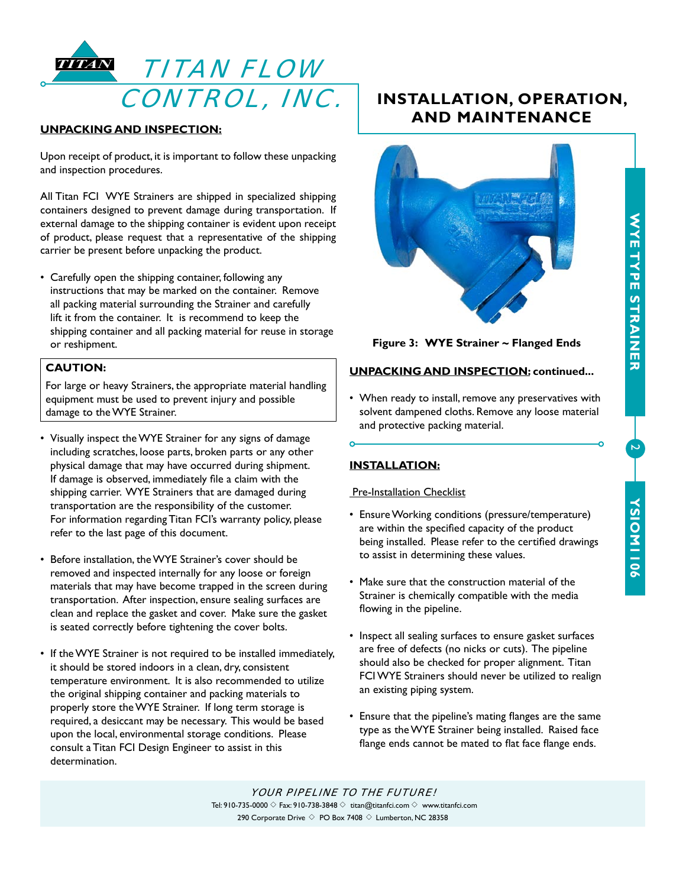

# **UNPACKING AND INSPECTION:**

Upon receipt of product, it is important to follow these unpacking and inspection procedures.

All Titan FCI WYE Strainers are shipped in specialized shipping containers designed to prevent damage during transportation. If external damage to the shipping container is evident upon receipt of product, please request that a representative of the shipping carrier be present before unpacking the product.

• Carefully open the shipping container, following any instructions that may be marked on the container. Remove all packing material surrounding the Strainer and carefully lift it from the container. It is recommend to keep the shipping container and all packing material for reuse in storage or reshipment.

# **CAUTION:**

For large or heavy Strainers, the appropriate material handling equipment must be used to prevent injury and possible damage to the WYE Strainer.

- Visually inspect the WYE Strainer for any signs of damage including scratches, loose parts, broken parts or any other physical damage that may have occurred during shipment. If damage is observed, immediately file a claim with the shipping carrier. WYE Strainers that are damaged during transportation are the responsibility of the customer. For information regarding Titan FCI's warranty policy, please refer to the last page of this document.
- Before installation, the WYE Strainer's cover should be removed and inspected internally for any loose or foreign materials that may have become trapped in the screen during transportation. After inspection, ensure sealing surfaces are clean and replace the gasket and cover. Make sure the gasket is seated correctly before tightening the cover bolts.
- If the WYE Strainer is not required to be installed immediately, it should be stored indoors in a clean, dry, consistent temperature environment. It is also recommended to utilize the original shipping container and packing materials to properly store the WYE Strainer. If long term storage is required, a desiccant may be necessary. This would be based upon the local, environmental storage conditions. Please consult a Titan FCI Design Engineer to assist in this determination.

# **INSTALLATION, OPERATION, AND MAINTENANCE**



**Figure 3: WYE Strainer ~ Flanged Ends**

# **UNPACKING AND INSPECTION: continued...**

• When ready to install, remove any preservatives with solvent dampened cloths. Remove any loose material and protective packing material.

# **INSTALLATION:**

## **Pre-Installation Checklist**

- Ensure Working conditions (pressure/temperature) are within the specified capacity of the product being installed. Please refer to the certified drawings to assist in determining these values.
- Make sure that the construction material of the Strainer is chemically compatible with the media flowing in the pipeline.
- Inspect all sealing surfaces to ensure gasket surfaces are free of defects (no nicks or cuts). The pipeline should also be checked for proper alignment. Titan FCI WYE Strainers should never be utilized to realign an existing piping system.
- Ensure that the pipeline's mating flanges are the same type as the WYE Strainer being installed. Raised face flange ends cannot be mated to flat face flange ends.

YOUR PIPELINE TO THE FUTURE! Tel: 910-735-0000  $\Diamond$  Fax: 910-738-3848  $\Diamond$  titan@titanfci.com  $\Diamond$  www.titanfci.com 290 Corporate Drive  $\diamond$  PO Box 7408  $\diamond$  Lumberton, NC 28358

# WYETYPE STRAINER **WYE TYPE STRAINER**

 $\overline{2}$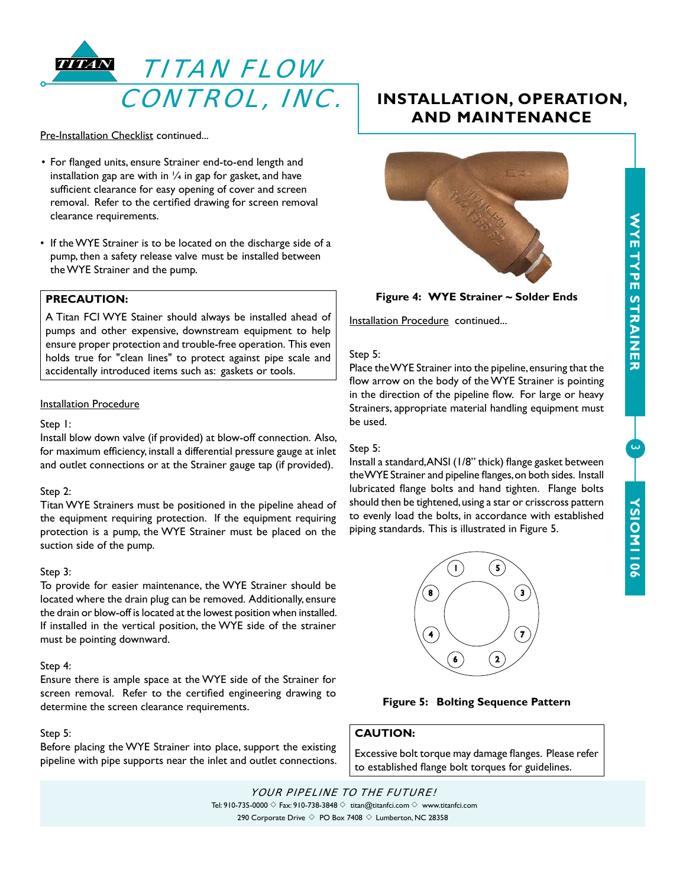

Pre-Installation Checklist continued...

- For flanged units, ensure Strainer end-to-end length and installation gap are with in  $\frac{1}{4}$  in gap for gasket, and have sufficient clearance for easy opening of cover and screen removal. Refer to the certified drawing for screen removal clearance requirements.
- If the WYE Strainer is to be located on the discharge side of a pump, then a safety release valve must be installed between the WYE Strainer and the pump.

## **PRECAUTION:**

A Titan FCI WYE Stainer should always be installed ahead of pumps and other expensive, downstream equipment to help ensure proper protection and trouble-free operation. This even holds true for "clean lines" to protect against pipe scale and accidentally introduced items such as: gaskets or tools.

#### Installation Procedure

#### Step 1:

Install blow down valve (if provided) at blow-off connection. Also, for maximum efficiency, install a differential pressure gauge at inlet and outlet connections or at the Strainer gauge tap (if provided).

#### Step 2:

Titan WYE Strainers must be positioned in the pipeline ahead of the equipment requiring protection. If the equipment requiring protection is a pump, the WYE Strainer must be placed on the suction side of the pump.

#### Step 3:

To provide for easier maintenance, the WYE Strainer should be located where the drain plug can be removed. Additionally, ensure the drain or blow-off is located at the lowest position when installed. If installed in the vertical position, the WYE side of the strainer must be pointing downward.

#### Step 4:

Ensure there is ample space at the WYE side of the Strainer for screen removal. Refer to the certified engineering drawing to determine the screen clearance requirements.

#### Step 5:

Before placing the WYE Strainer into place, support the existing pipeline with pipe supports near the inlet and outlet connections.

# **INSTALLATION, OPERATION, AND MAINTENANCE**



#### **Figure 4: WYE Strainer ~ Solder Ends**

Installation Procedure continued...

#### Step 5:

Place the WYE Strainer into the pipeline, ensuring that the flow arrow on the body of the WYE Strainer is pointing in the direction of the pipeline flow. For large or heavy Strainers, appropriate material handling equipment must be used.

#### Step 5:

Install a standard, ANSI (1/8" thick) flange gasket between the WYE Strainer and pipeline flanges, on both sides. Install lubricated flange bolts and hand tighten. Flange bolts should then be tightened, using a star or crisscross pattern to evenly load the bolts, in accordance with established piping standards. This is illustrated in Figure 5.



# **Figure 5: Bolting Sequence Pattern**

# **CAUTION:**

Excessive bolt torque may damage flanges. Please refer to established flange bolt torques for guidelines.

 $\overline{\mathcal{L}}$ 

YOUR PIPELINE TO THE FUTURE! Tel: 910-735-0000  $\Diamond$  Fax: 910-738-3848  $\Diamond$  titan@titanfci.com  $\Diamond$  www.titanfci.com 290 Corporate Drive  $\diamond$  PO Box 7408  $\diamond$  Lumberton, NC 28358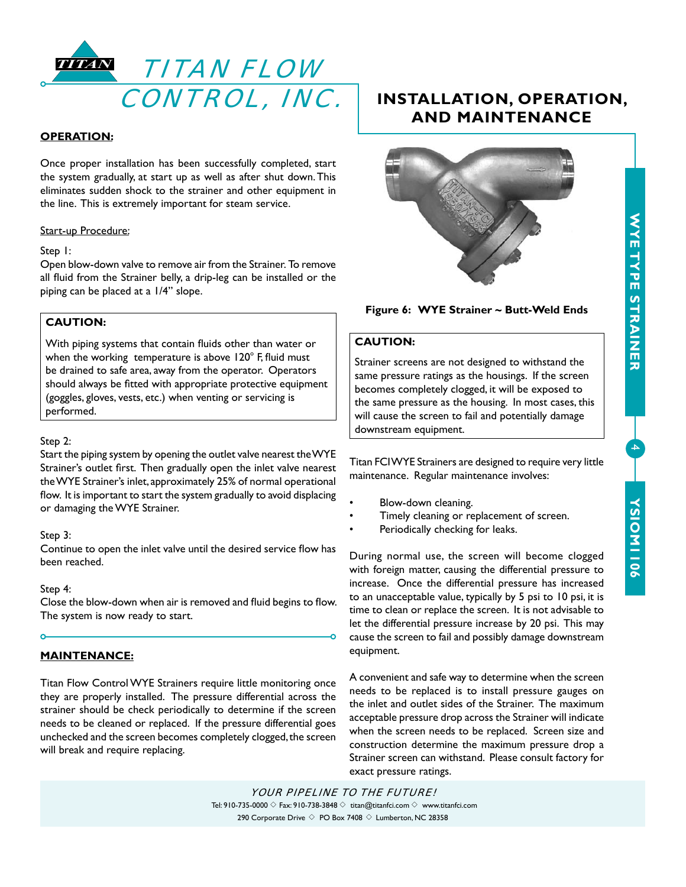

## **OPERATION:**

Once proper installation has been successfully completed, start the system gradually, at start up as well as after shut down. This eliminates sudden shock to the strainer and other equipment in the line. This is extremely important for steam service.

## Start-up Procedure:

#### Step 1:

Open blow-down valve to remove air from the Strainer. To remove all fluid from the Strainer belly, a drip-leg can be installed or the piping can be placed at a 1/4" slope.

# **CAUTION:**

With piping systems that contain fluids other than water or when the working temperature is above  $120^{\circ}$  F, fluid must be drained to safe area, away from the operator. Operators should always be fitted with appropriate protective equipment (goggles, gloves, vests, etc.) when venting or servicing is performed.

#### Step 2:

Start the piping system by opening the outlet valve nearest the WYE Strainer's outlet first. Then gradually open the inlet valve nearest the WYE Strainer's inlet, approximately 25% of normal operational flow. It is important to start the system gradually to avoid displacing or damaging the WYE Strainer.

#### Step 3:

Continue to open the inlet valve until the desired service flow has been reached.

#### Step 4:

Close the blow-down when air is removed and fluid begins to flow. The system is now ready to start.

# **MAINTENANCE:**

Titan Flow Control WYE Strainers require little monitoring once they are properly installed. The pressure differential across the strainer should be check periodically to determine if the screen needs to be cleaned or replaced. If the pressure differential goes unchecked and the screen becomes completely clogged, the screen will break and require replacing.

# **INSTALLATION, OPERATION, AND MAINTENANCE**



# **Figure 6: WYE Strainer ~ Butt-Weld Ends**

# **CAUTION:**

Strainer screens are not designed to withstand the same pressure ratings as the housings. If the screen becomes completely clogged, it will be exposed to the same pressure as the housing. In most cases, this will cause the screen to fail and potentially damage downstream equipment.

Titan FCI WYE Strainers are designed to require very little maintenance. Regular maintenance involves:

- Blow-down cleaning.
- Timely cleaning or replacement of screen.
- Periodically checking for leaks.

During normal use, the screen will become clogged with foreign matter, causing the differential pressure to increase. Once the differential pressure has increased to an unacceptable value, typically by 5 psi to 10 psi, it is time to clean or replace the screen. It is not advisable to let the differential pressure increase by 20 psi. This may cause the screen to fail and possibly damage downstream equipment.

A convenient and safe way to determine when the screen needs to be replaced is to install pressure gauges on the inlet and outlet sides of the Strainer. The maximum acceptable pressure drop across the Strainer will indicate when the screen needs to be replaced. Screen size and construction determine the maximum pressure drop a Strainer screen can withstand. Please consult factory for exact pressure ratings.

# WYETTYPE STRAINER **WYE TYPE STRAINER**

4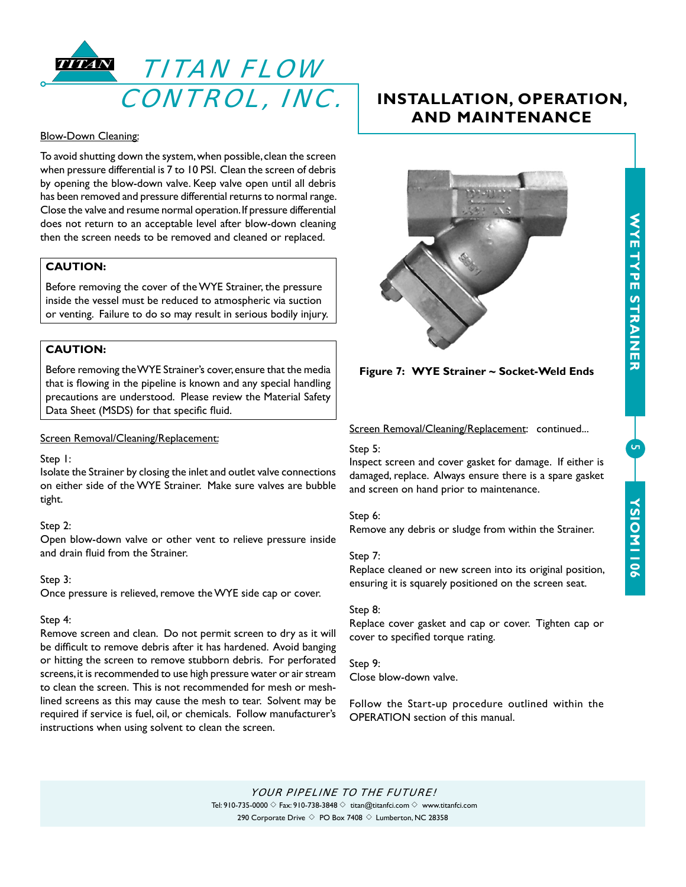

#### Blow-Down Cleaning:

To avoid shutting down the system, when possible, clean the screen when pressure differential is 7 to 10 PSI. Clean the screen of debris by opening the blow-down valve. Keep valve open until all debris has been removed and pressure differential returns to normal range. Close the valve and resume normal operation. If pressure differential does not return to an acceptable level after blow-down cleaning then the screen needs to be removed and cleaned or replaced.

# **CAUTION:**

Before removing the cover of the WYE Strainer, the pressure inside the vessel must be reduced to atmospheric via suction or venting. Failure to do so may result in serious bodily injury.

# **CAUTION:**

Before removing the WYE Strainer's cover, ensure that the media that is flowing in the pipeline is known and any special handling precautions are understood. Please review the Material Safety Data Sheet (MSDS) for that specific fluid.

#### Screen Removal/Cleaning/Replacement:

#### Step 1:

Isolate the Strainer by closing the inlet and outlet valve connections on either side of the WYE Strainer. Make sure valves are bubble tight.

#### Step 2:

Open blow-down valve or other vent to relieve pressure inside and drain fluid from the Strainer.

#### Step 3:

Once pressure is relieved, remove the WYE side cap or cover.

#### Step 4:

Remove screen and clean. Do not permit screen to dry as it will be difficult to remove debris after it has hardened. Avoid banging or hitting the screen to remove stubborn debris. For perforated screens, it is recommended to use high pressure water or air stream to clean the screen. This is not recommended for mesh or meshlined screens as this may cause the mesh to tear. Solvent may be required if service is fuel, oil, or chemicals. Follow manufacturer's instructions when using solvent to clean the screen.

# **INSTALLATION, OPERATION, AND MAINTENANCE**



## **Figure 7: WYE Strainer ~ Socket-Weld Ends**

#### Screen Removal/Cleaning/Replacement: continued...

#### Step 5:

Inspect screen and cover gasket for damage. If either is damaged, replace. Always ensure there is a spare gasket and screen on hand prior to maintenance.

#### Step 6:

Remove any debris or sludge from within the Strainer.

#### Step 7:

Replace cleaned or new screen into its original position, ensuring it is squarely positioned on the screen seat.

#### Step 8:

Replace cover gasket and cap or cover. Tighten cap or cover to specified torque rating.

# Step 9:

Close blow-down valve.

Follow the Start-up procedure outlined within the OPERATION section of this manual.

 $\overline{5}$ 

YOUR PIPELINE TO THE FUTURE! Tel: 910-735-0000  $\Diamond$  Fax: 910-738-3848  $\Diamond$  titan@titanfci.com  $\Diamond$  www.titanfci.com 290 Corporate Drive  $\diamondsuit$  PO Box 7408  $\diamondsuit$  Lumberton, NC 28358